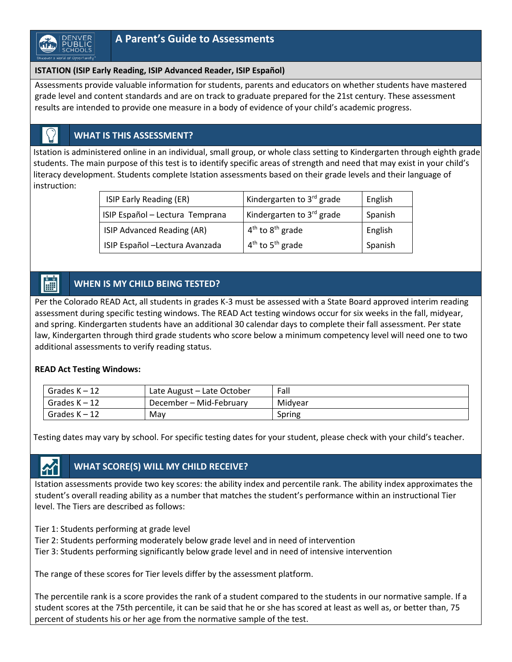### **ISTATION (ISIP Early Reading, ISIP Advanced Reader, ISIP Español)**

Assessments provide valuable information for students, parents and educators on whether students have mastered grade level and content standards and are on track to graduate prepared for the 21st century. These assessment results are intended to provide one measure in a body of evidence of your child's academic progress.

### **WHAT IS THIS ASSESSMENT?**

Istation is administered online in an individual, small group, or whole class setting to Kindergarten through eighth grade students. The main purpose of this test is to identify specific areas of strength and need that may exist in your child's literacy development. Students complete Istation assessments based on their grade levels and their language of instruction:

| ISIP Early Reading (ER)         | Kindergarten to 3rd grade      | English |
|---------------------------------|--------------------------------|---------|
| ISIP Español - Lectura Temprana | Kindergarten to 3rd grade      | Spanish |
| ISIP Advanced Reading (AR)      | $4th$ to $8th$ grade           | English |
| ISIP Español -Lectura Avanzada  | $4th$ to 5 <sup>th</sup> grade | Spanish |

#### **WHEN IS MY CHILD BEING TESTED?**

Per the Colorado READ Act, all students in grades K-3 must be assessed with a State Board approved interim reading assessment during specific testing windows. The READ Act testing windows occur for six weeks in the fall, midyear, and spring. Kindergarten students have an additional 30 calendar days to complete their fall assessment. Per state law, Kindergarten through third grade students who score below a minimum competency level will need one to two additional assessments to verify reading status.

### **READ Act Testing Windows:**

| Grades $K - 12$ | Late August - Late October | Fall    |
|-----------------|----------------------------|---------|
| Grades $K - 12$ | December – Mid-February    | Midvear |
| Grades K - 12   | Mav                        | Spring  |

Testing dates may vary by school. For specific testing dates for your student, please check with your child's teacher.

# **WHAT SCORE(S) WILL MY CHILD RECEIVE?**

Istation assessments provide two key scores: the ability index and percentile rank. The ability index approximates the student's overall reading ability as a number that matches the student's performance within an instructional Tier level. The Tiers are described as follows:

- Tier 1: Students performing at grade level
- Tier 2: Students performing moderately below grade level and in need of intervention
- Tier 3: Students performing significantly below grade level and in need of intensive intervention

The range of these scores for Tier levels differ by the assessment platform.

The percentile rank is a score provides the rank of a student compared to the students in our normative sample. If a student scores at the 75th percentile, it can be said that he or she has scored at least as well as, or better than, 75 percent of students his or her age from the normative sample of the test.